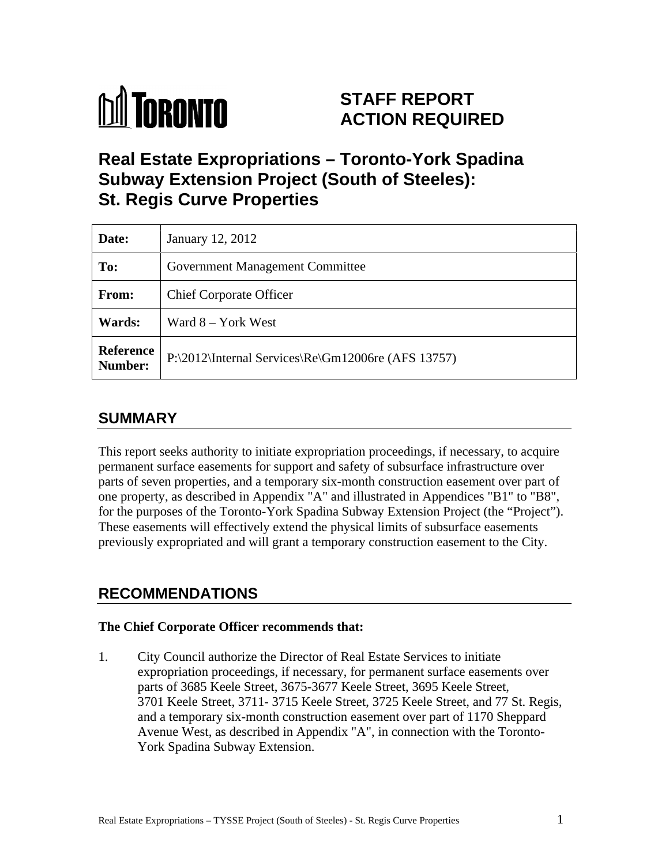

# **STAFF REPORT ACTION REQUIRED**

# **Real Estate Expropriations – Toronto-York Spadina Subway Extension Project (South of Steeles): St. Regis Curve Properties**

| Date:                | January 12, 2012                                                              |
|----------------------|-------------------------------------------------------------------------------|
| To:                  | <b>Government Management Committee</b>                                        |
| <b>From:</b>         | <b>Chief Corporate Officer</b>                                                |
| Wards:               | Ward 8 – York West                                                            |
| Reference<br>Number: | $\Pr\2012\left(\text{Internal Services}\Re\;\Gm12006\;\text{AFS}13757\right)$ |

## **SUMMARY**

This report seeks authority to initiate expropriation proceedings, if necessary, to acquire permanent surface easements for support and safety of subsurface infrastructure over parts of seven properties, and a temporary six-month construction easement over part of one property, as described in Appendix "A" and illustrated in Appendices "B1" to "B8", for the purposes of the Toronto-York Spadina Subway Extension Project (the "Project"). These easements will effectively extend the physical limits of subsurface easements previously expropriated and will grant a temporary construction easement to the City.

## **RECOMMENDATIONS**

#### **The Chief Corporate Officer recommends that:**

1. City Council authorize the Director of Real Estate Services to initiate expropriation proceedings, if necessary, for permanent surface easements over parts of 3685 Keele Street, 3675-3677 Keele Street, 3695 Keele Street, 3701 Keele Street, 3711- 3715 Keele Street, 3725 Keele Street, and 77 St. Regis, and a temporary six-month construction easement over part of 1170 Shep Avenue West, as described in Appendix "A", in connection with the Toronto- York Spadina Subway Extension.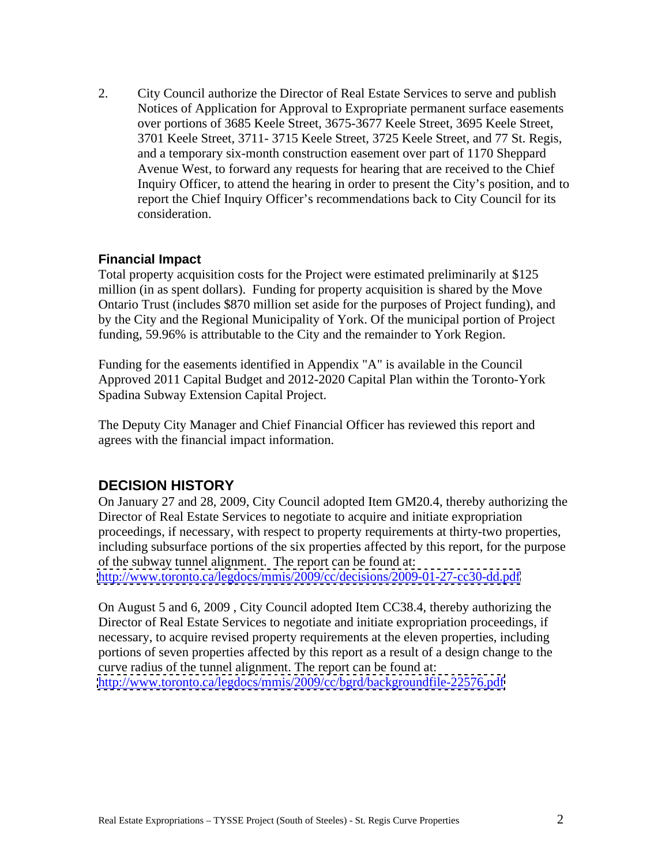2. City Council authorize the Director of Real Estate Services to serve and publish Notices of Application for Approval to Expropriate permanent surface easements over portions of 3685 Keele Street, 3675-3677 Keele Street, 3695 Keele Street, 3701 Keele Street, 3711- <sup>3715</sup> Keele Street, 3725 Keele Street, and 77 St. Regis, and a temporary six-month construction easement over part of 1170 Sheppard Avenue West, to forward any requests for hearing that are received to the Chief Inquiry Officer, to attend the hearing in order to present the City's position, and to report the Chief Inquiry Officer's recommendations back to City Council for its consideration.

#### **Financial Impact**

Total property acquisition costs for the Project were estimated preliminarily at \$125 million (in as spent dollars). Funding for property acquisition is shared by the Move Ontario Trust (includes \$870 million set aside for the purposes of Project funding), and by the City and the Regional Municipality of York. Of the municipal portion of Project funding, 59.96% is attributable to the City and the remainder to York Region.

Funding for the easements identified in Appendix "A" is available in the Council Approved 2011 Capital Budget and 2012-2020 Capital Plan within the Toronto-York Spadina Subway Extension Capital Project. The Deputy City Manager and Chief Financial Officer has reviewed this report and

agrees with the financial impact information.

#### **DECISION HISTORY**

On January 27 and 28, 2009, City Council adopted Item GM20.4, thereby authorizing the Director of Real Estate Services to negotiate to acquire and initiate expropriation proceedings, if necessary, with respect to property requirements at thirty-two properties, including subsurface portions of the six properties affected by this report, for the purpose of the subway tunnel alignment. The report can be found at: <http://www.toronto.ca/legdocs/mmis/2009/cc/decisions/2009-01-27-cc30-dd.pdf>

On August 5 and 6, 2009 , City Council adopted Item CC38.4, thereby authorizing the Director of Real Estate Services to negotiate and initiate expropriation proceedings, if necessary, to acquire revised property requirements at the eleven properties, including portions of seven properties affected by this report as a result of a design change to the curve radius of the tunnel alignment. The report can be found at: <http://www.toronto.ca/legdocs/mmis/2009/cc/bgrd/backgroundfile-22576.pdf>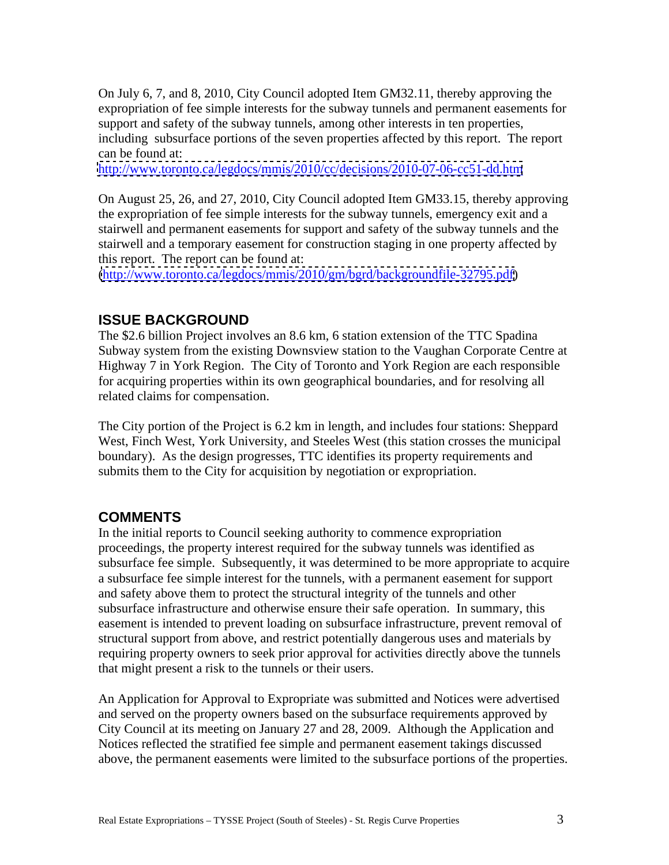On July 6, 7, and 8, 2010, City Council adopted Item GM32.11, thereby approving the expropriation of fee simple interests for the subway tunnels and permanent easements for support and safety of the subway tunnels, among other interests in ten properties, including subsurface portions of the seven properties affected by this report. The report can be found at:

<http://www.toronto.ca/legdocs/mmis/2010/cc/decisions/2010-07-06-cc51-dd.htm>

On August 25, 26, and 27, 2010, City Council adopted Item GM33.15, thereby approving the expropriation of fee simple interests for the subway tunnels, emergency exit and a stairwell and permanent easements for support and safety of the subway tunnels and the stairwell and a temporary easement for construction staging in one property affected by this report. The report can be found at:

[\(http://www.toronto.ca/legdocs/mmis/2010/gm/bgrd/backgroundfile-32795.pdf\)](http://www.toronto.ca/legdocs/mmis/2010/gm/bgrd/backgroundfile-32795.pdf)

#### **ISSUE BACKGROUND**

The \$2.6 billion Project involves an 8.6 km, 6 station extension of the TTC Spadina Subway system from the existing Downsview station to the Vaughan Corporate Centre at Highway 7 in York Region. The City of Toronto and York Region are each responsible for acquiring properties within its own geographical boundaries, and for resolving all related claims for compensation.<br>The City portion of the Project is 6.2 km in length, and includes four stations: Sheppard

West, Finch West, York University, and Steeles West (this station crosses the municipal boundary). As the design progresses, TTC identifies its property requirements and submits them to the City for acquisition by negotiation or expropriation.

#### **COMMENTS**

In the initial reports to Council seeking authority to commence expropriation proceedings, the property interest required for the subway tunnels was identified as subsurface fee simple. Subsequently, it was determined to be more appropriate to acquire a subsurface fee simple interest for the tunnels, with a permanent easement for support and safety above them to protect the structural integrity of the tunnels and other subsurface infrastructure and otherwise ensure their safe operation. In summary, this easement is intended to prevent loading on subsurface infrastructure, prevent removal of structural support from above, and restrict potentially dangerous uses and materials by requiring property owners to seek prior approval for activities directly above the tunnels that might present a risk to the tunnels or their users.

An Application for Approval to Expropriate was submitted and Notices were advertised and served on the property owners based on the subsurface requirements approved by City Council at its meeting on January 27 and 28, 2009. Although the Application and Notices reflected the stratified fee simple and permanent easement takings discussed above, the permanent easements were limited to the subsurface portions of the properties.